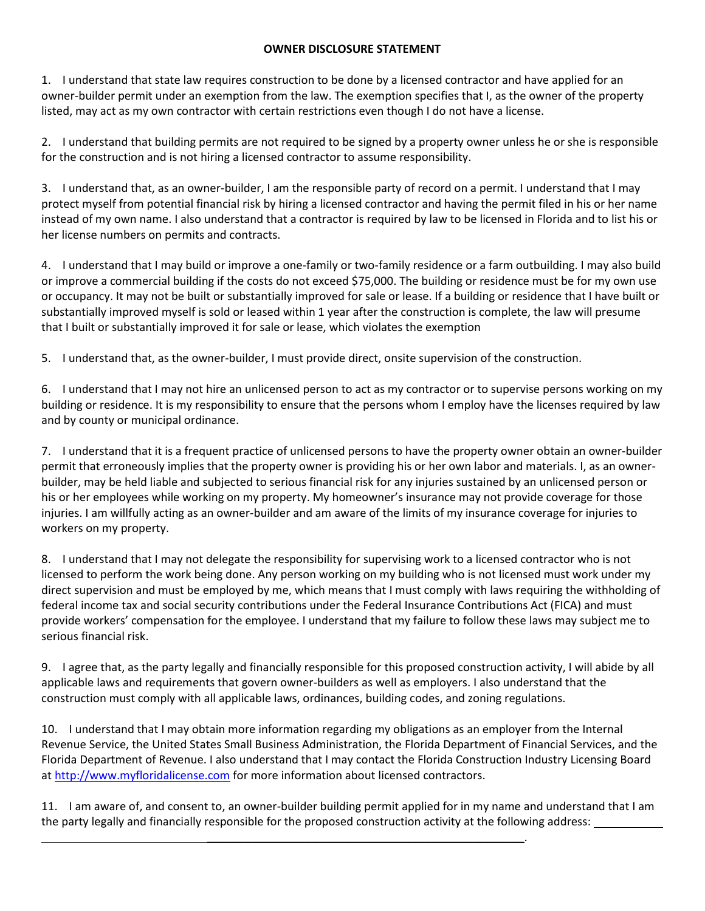## **OWNER DISCLOSURE STATEMENT**

1. I understand that state law requires construction to be done by a licensed contractor and have applied for an owner-builder permit under an exemption from the law. The exemption specifies that I, as the owner of the property listed, may act as my own contractor with certain restrictions even though I do not have a license.

2. I understand that building permits are not required to be signed by a property owner unless he or she is responsible for the construction and is not hiring a licensed contractor to assume responsibility.

3. I understand that, as an owner-builder, I am the responsible party of record on a permit. I understand that I may protect myself from potential financial risk by hiring a licensed contractor and having the permit filed in his or her name instead of my own name. I also understand that a contractor is required by law to be licensed in Florida and to list his or her license numbers on permits and contracts.

4. I understand that I may build or improve a one-family or two-family residence or a farm outbuilding. I may also build or improve a commercial building if the costs do not exceed \$75,000. The building or residence must be for my own use or occupancy. It may not be built or substantially improved for sale or lease. If a building or residence that I have built or substantially improved myself is sold or leased within 1 year after the construction is complete, the law will presume that I built or substantially improved it for sale or lease, which violates the exemption

5. I understand that, as the owner-builder, I must provide direct, onsite supervision of the construction.

6. I understand that I may not hire an unlicensed person to act as my contractor or to supervise persons working on my building or residence. It is my responsibility to ensure that the persons whom I employ have the licenses required by law and by county or municipal ordinance.

7. I understand that it is a frequent practice of unlicensed persons to have the property owner obtain an owner-builder permit that erroneously implies that the property owner is providing his or her own labor and materials. I, as an ownerbuilder, may be held liable and subjected to serious financial risk for any injuries sustained by an unlicensed person or his or her employees while working on my property. My homeowner's insurance may not provide coverage for those injuries. I am willfully acting as an owner-builder and am aware of the limits of my insurance coverage for injuries to workers on my property.

8. I understand that I may not delegate the responsibility for supervising work to a licensed contractor who is not licensed to perform the work being done. Any person working on my building who is not licensed must work under my direct supervision and must be employed by me, which means that I must comply with laws requiring the withholding of federal income tax and social security contributions under the Federal Insurance Contributions Act (FICA) and must provide workers' compensation for the employee. I understand that my failure to follow these laws may subject me to serious financial risk.

9. I agree that, as the party legally and financially responsible for this proposed construction activity, I will abide by all applicable laws and requirements that govern owner-builders as well as employers. I also understand that the construction must comply with all applicable laws, ordinances, building codes, and zoning regulations.

10. I understand that I may obtain more information regarding my obligations as an employer from the Internal Revenue Service, the United States Small Business Administration, the Florida Department of Financial Services, and the Florida Department of Revenue. I also understand that I may contact the Florida Construction Industry Licensing Board at [http://www.myfloridalicense.com](http://www.myfloridalicense.com/) for more information about licensed contractors.

11. I am aware of, and consent to, an owner-builder building permit applied for in my name and understand that I am the party legally and financially responsible for the proposed construction activity at the following address:

\_\_\_\_\_\_\_\_\_\_\_\_\_\_\_\_\_\_\_\_\_\_\_\_\_\_\_\_\_\_\_\_\_\_\_\_\_\_\_\_\_\_\_\_\_\_\_\_\_\_\_\_\_\_\_\_\_\_\_\_\_\_\_\_\_\_\_\_\_\_.